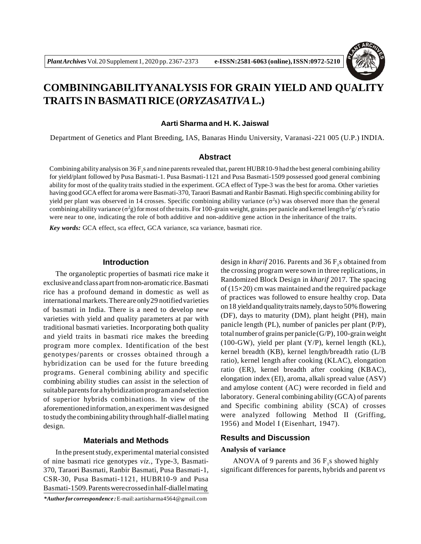

# **COMBININGABILITYANALYSIS FOR GRAIN YIELD AND QUALITY TRAITS IN BASMATI RICE(***ORYZASATIVA***L.)**

## **Aarti Sharma and H. K. Jaiswal**

Department of Genetics and Plant Breeding, IAS, Banaras Hindu University, Varanasi-221 005 (U.P.) INDIA.

#### **Abstract**

Combining ability analysis on  $36F$ <sub>1</sub>s and nine parents revealed that, parent HUBR10-9 had the best general combining ability for yield/plant followed by Pusa Basmati-1. Pusa Basmati-1121 and Pusa Basmati-1509 possessed good general combining ability for most of the quality traits studied in the experiment. GCA effect of Type-3 was the best for aroma. Other varieties having good GCA effect for aroma were Basmati-370, Taraori Basmati and Ranbir Basmati. High specific combining ability for yield per plant was observed in 14 crosses. Specific combining ability variance  $(\sigma^2 s)$  was observed more than the general combining ability variance ( $\sigma^2$ g) for most of the traits. For 100-grain weight, grains per panicle and kernel length  $\sigma^2$ g/ $\sigma^2$ s ratio were near to one, indicating the role of both additive and non-additive gene action in the inheritance of the traits.

*Key words:* GCA effect, sca effect, GCA variance, sca variance, basmati rice.

# **Introduction**

The organoleptic properties of basmati rice make it exclusive and class apart from non-aromatic rice. Basmati rice has a profound demand in domestic as well as  $intermational$  markets. There are only 29 notified varieties of basmati in India. There is a need to develop new varieties with yield and quality parameters at par with traditional basmati varieties. Incorporating both quality and yield traits in basmati rice makes the breeding program more complex. Identification of the best genotypes/parents or crosses obtained through a hybridization can be used for the future breeding programs. General combining ability and specific combining ability studies can assist in the selection of suitable parents for a hybridization program and selection of superior hybrids combinations. In view of the aforementionedinformation, an experiment was designed tostudythe combiningabilitythroughhalf-diallel mating design.

## **Materials and Methods**

In the present study, experimental material consisted of nine basmati rice genotypes *viz.*, Type-3, Basmati-370, Taraori Basmati, Ranbir Basmati, Pusa Basmati-1, CSR-30, Pusa Basmati-1121, HUBR10-9 and Pusa Basmati-1509.Parentswerecrossedinhalf-diallelmating

*\*Authorfor correspondence :*E-mail[:aartisharma4564@gmail.com](mailto:aartisharma4564@gmail.com)

design in  $\text{kharif } 2016$ . Parents and 36  $\text{F}_1$ s obtained from the crossing program were sown in three replications, in Randomized Block Design in *kharif* 2017. The spacing of (15×20) cm was maintained and the required package of practices was followed to ensure healthy crop. Data on18 yieldandqualitytraits namely,daysto 50% flowering (DF), days to maturity (DM), plant height (PH), main panicle length (PL), number of panicles per plant (P/P), total number of grains per panicle  $(G/P)$ , 100-grain weight  $(100-GW)$ , yield per plant  $(Y/P)$ , kernel length  $(KL)$ , kernel breadth (KB), kernel length/breadth ratio (L/B ratio), kernel length after cooking (KLAC), elongation ratio (ER), kernel breadth after cooking (KBAC), elongation index (EI), aroma, alkali spread value (ASV) and amylose content (AC) were recorded in field and laboratory. General combining ability (GCA) of parents and Specific combining ability (SCA) of crosses were analyzed following Method II (Griffing, 1956) and Model I (Eisenhart, 1947).

# **Results and Discussion**

#### **Analysis of variance**

ANOVA of 9 parents and 36  $F_1$ s showed highly significant differences for parents, hybrids and parent *vs*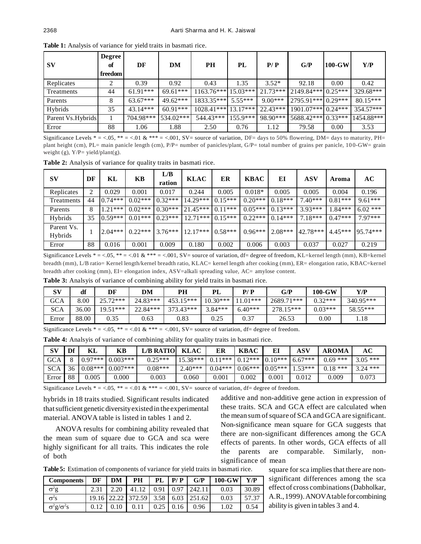| $S_{\rm V}$        | <b>Degree</b><br>of<br>freedom | DF         | DM         | PH                    | PL         | P/P        | G/P                  | $100$ -GW | Y/P        |
|--------------------|--------------------------------|------------|------------|-----------------------|------------|------------|----------------------|-----------|------------|
|                    |                                |            |            |                       |            |            |                      |           |            |
| Replicates         | ◠                              | 0.39       | 0.92       | 0.43                  | 1.35       | $3.52*$    | 92.18                | 0.00      | 0.42       |
| Treatments         | 44                             | $61.91***$ | $69.61***$ | $1163.76***$          | $15.03***$ | $21.73***$ | $2149.84***$ 0.25*** |           | 329.68***  |
| Parents            | 8                              | $63.67***$ | $49.62***$ | 1833.35***            | $5.55***$  | $9.00***$  | 2795.91*** 0.29***   |           | $80.15***$ |
| Hybrids            | 35                             | $43.14***$ | $60.91***$ | $1028.41***$ 13.17*** |            | $22.43***$ | $1901.07***$ 0.24*** |           | 354.57***  |
| Parent Vs. Hybrids |                                | 704.98***  | 534.02***  | 544.43***             | $155.9***$ | 98.90***   | 5688.42*** 0.33***   |           | 1454.88*** |
| Error              | 88                             | 1.06       | 1.88       | 2.50                  | 0.76       | 1.12       | 79.58                | 0.00      | 3.53       |

**Table 1:** Analysis of variance for yield traits in basmati rice.

Significance Levels  $* = 0.05$ ,  $** = 0.01$ ,  $\& *** = 0.001$ , SV= source of variation, DF= days to 50% flowering, DM= days to maturity, PH= plant height (cm), PL= main panicle length (cm), P/P= number of panicles/plant, G/P= total number of grains per panicle, 10 0-GW= grain weight (g), Y/P= yield/plant(g).

**Table 2:** Analysis of variance for quality traits in basmati rice.

| SV                    | DF | KL        | KB        | L/B<br>ration | <b>KLAC</b> | ER        | <b>KBAC</b> | EI        | ASV       | Aroma     | AC         |
|-----------------------|----|-----------|-----------|---------------|-------------|-----------|-------------|-----------|-----------|-----------|------------|
| Replicates            | 2  | 0.029     | 0.001     | 0.017         | 0.244       | 0.005     | $0.018*$    | 0.005     | 0.005     | 0.004     | 0.196      |
| Treatments            | 44 | $0.74***$ | $0.02***$ | $0.32***$     | 14.29***    | $0.15***$ | $0.20***$   | $0.18***$ | $7.40***$ | $0.81***$ | $9.61***$  |
| Parents               | 8  | $1.21***$ | $0.02***$ | $0.30***$     | $121.45***$ | $0.11***$ | $0.05***$   | $0.13***$ | $3.93***$ | $1.84***$ | $6.02$ *** |
| Hybrids               | 35 | $0.59***$ | $0.01***$ | $0.23***$     | $12.71***$  | $0.15***$ | $0.22***$   | $0.14***$ | $7.18***$ | $0.47***$ | $7.97***$  |
| Parent Vs.<br>Hybrids |    | $2.04***$ | $0.22***$ | $3.76***$     | $12.17***$  | $0.58***$ | $0.96***$   | $2.08***$ | 42.78***  | $4.45***$ | 95.74***   |
| Error                 | 88 | 0.016     | 0.001     | 0.009         | 0.180       | 0.002     | 0.006       | 0.003     | 0.037     | 0.027     | 0.219      |

Significance Levels  $* = <.05$ ,  $** = <.01$  &  $*** = <.001$ , SV= source of variation, df= degree of freedom, KL=kernel length (mm), KB=kernel breadth (mm), L/B ratio= Kernel length/kernel breadth ratio, KLAC= kernel length after cooking (mm), ER= elongation ratio, KBAC=kernel breadth after cooking (mm), EI= elongation index, ASV=alkali spreading value, AC= amylose content.

**Table 3:** Analsyis of variance of combining ability for yield traits in basmati rice.

| <b>SV</b>  | df    | DF         | DM         | PН          | PL         | P/P        | G/P        | $100$ -GW | Y/P         |
|------------|-------|------------|------------|-------------|------------|------------|------------|-----------|-------------|
| GCA        | 3.00  | $25.72***$ | $24.83***$ | $453.15***$ | $10.30***$ | $11.01***$ | 2689.71*** | $0.32***$ | $340.95***$ |
| <b>SCA</b> | 36.00 | $19.51***$ | $22.84***$ | $373.43***$ | $3.84***$  | $6.40***$  | 278.15***  | $0.03***$ | $58.55***$  |
| Error      | 88.00 | 0.35       | 0.63       | 0.83        | 0.25       | 0.37       | 26.53      | $0.00\,$  | 1.18        |

Significance Levels  $* = 0.6$ ,  $** = 0.61$  &  $*** = 0.001$ , SV= source of variation, df= degree of freedom.

| Table 4: Analsyis of variance of combining ability for quality traits in basmati rice. |  |  |  |  |  |
|----------------------------------------------------------------------------------------|--|--|--|--|--|
|----------------------------------------------------------------------------------------|--|--|--|--|--|

| SV         | Df | KL    | KВ                 | <b>L/B RATIO</b> | <b>KLAC</b>                | ER        | <b>KBAC</b>         | E                 | <b>ASV</b> | <b>AROMA</b> | АC         |
|------------|----|-------|--------------------|------------------|----------------------------|-----------|---------------------|-------------------|------------|--------------|------------|
| <b>GCA</b> |    |       | $0.97***10.003***$ | $0.25***$        | $15.38***$ 0.11*** 0.12*** |           |                     | $0.10***$ 6.67*** |            | $0.69***$    | $3.05$ *** |
| <b>SCA</b> | 36 |       | $0.08***$ 0.007*** | $0.08***$        | $2.40***$                  |           | $0.04***$   0.06*** | $0.05***$         | 53***      | $0.18***$    | $3.24$ *** |
| Error      | 88 | 0.005 | $0.000\,$          | 0.003            | 0.060                      | $0.001\,$ | 0.002               | $0.001\,$         | 0.012      | .009         | 0.073      |

Significance Levels  $* = <.05$ ,  $** = <.01$  &  $*** = <.001$ , SV= source of variation, df= degree of freedom.

hybrids in 18 traits studied. Significant results indicated that sufficient genetic diversity existed in the experimental material. ANOVA table is listed in tables 1 and 2.

ANOVA results for combining ability revealed that the mean sum of square due to GCA and sca were highly significant for all traits. This indicates the role of both

additive and non-additive gene action in expression of these traits. SCA and GCA effect are calculated when the mean sum of square of SCA and GCA are significant. Non-significance mean square for GCA suggests that there are non-significant differences among the GCA effects of parents. In other words, GCA effects of all the parents are comparable. Similarly, nonsignificance of mean

**Table 5:** Estimation of components of variance for yield traits in basmati rice. square for sca implies that there are non-

| <b>Components</b>       | DF   | DM   | PН    | PL   | P/P  | G/P                                 | $100$ -GW | V/P   |
|-------------------------|------|------|-------|------|------|-------------------------------------|-----------|-------|
| $\sigma$ <sup>2</sup> g | 2.31 | 2.20 | 41.12 |      |      | $0.91 \pm 0.97 \pm 242.11$          | 0.03      | 30.89 |
| $\sigma^2$ s            |      |      |       |      |      | 19.16 22.22 372.59 3.58 6.03 251.62 | 0.03      | 57.37 |
| $\sigma^2 g/\sigma^2 s$ | 0.12 | 0.10 |       | 0.25 | 0.16 | 0.96                                | 1.02      | 0.54  |

significant differences among the sca effect of cross combinations(Dabholkar, A.R.,1999).ANOVAtableforcombining ability is given in tables 3 and 4.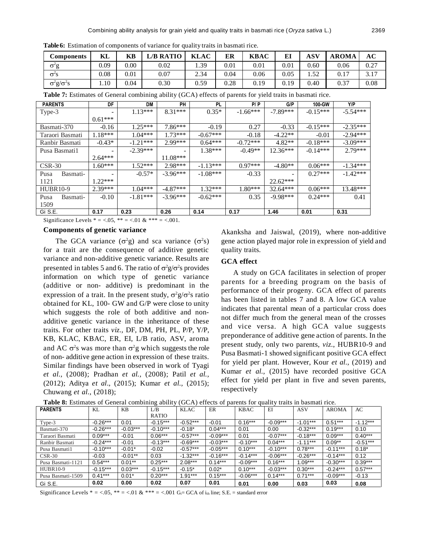**Table 6:** Estimation of components of variance for quality traits in basmati rice.

| Components                                       | KL   | KB       | L/B RATIO | <b>KLAC</b> | ER       | <b>KBAC</b> | EI       | ASV           | <b>AROMA</b> | АC   |
|--------------------------------------------------|------|----------|-----------|-------------|----------|-------------|----------|---------------|--------------|------|
| $\sigma$ <sup>2</sup> g                          | 0.09 | $0.00\,$ | 0.02      | 1.39        | $0.01\,$ | 0.01        | $0.01\,$ | 0.60          | 0.06         | 0.27 |
| $\sigma$ <sup>2</sup> s                          | 0.08 | 0.01     | 0.07      | 2.34        | 0.04     | 0.06        | 0.05     | 52<br>. . J 4 | 0.17         | 3.17 |
| $\sigma$ <sup>2</sup> g/ $\sigma$ <sup>2</sup> s | 1.10 | 0.04     | 0.30      | 0.59        | 0.28     | 0.19        | 0.19     | 0.40          | 0.37         | 0.08 |

**Table 7:** Estimates of General combining ability (GCA) effects of parents for yield traits in basmati rice.

| <b>PARENTS</b>   | DF        | DM         | PН         | PL         | P/P        | G/P        | 100-GW     | Y/P        |
|------------------|-----------|------------|------------|------------|------------|------------|------------|------------|
| Type-3           |           | $1.13***$  | $8.31***$  | $0.35*$    | $-1.66***$ | $-7.89***$ | $-0.15***$ | $-5.54***$ |
|                  | $0.61***$ |            |            |            |            |            |            |            |
| Basmati-370      | $-0.16$   | $1.25***$  | $7.86***$  | $-0.19$    | 0.27       | $-0.33$    | $-0.15***$ | $-2.35***$ |
| Taraori Basmati  | $1.18***$ | $1.04***$  | $1.73***$  | $-0.67***$ | $-0.18$    | $-4.22**$  | $-0.01$    | $-2.94***$ |
| Ranbir Basmati   | $-0.43*$  | $-1.21***$ | $2.99***$  | $0.64***$  | $-0.72***$ | $4.82**$   | $-0.18***$ | $-3.09***$ |
| Pusa Basmati1    |           | $-2.39***$ |            | $1.38***$  | $-0.49**$  | $12.36***$ | $-0.14***$ | $2.79***$  |
|                  | $2.64***$ |            | $11.08***$ |            |            |            |            |            |
| $CSR-30$         | $1.60***$ | $1.52***$  | $2.98***$  | $-1.13***$ | $0.97***$  | $-4.80**$  | $0.06***$  | $-1.34***$ |
| Basmati-<br>Pusa |           | $-0.57*$   | $-3.96***$ | $-1.08***$ | $-0.33$    |            | $0.27***$  | $-1.42***$ |
| 1121             | $1.22***$ |            |            |            |            | $22.62***$ |            |            |
| <b>HUBR10-9</b>  | $2.39***$ | $1.04***$  | $-4.87***$ | $1.32***$  | $1.80***$  | $32.64***$ | $0.06***$  | 13.48***   |
| Pusa<br>Basmati- | $-0.10$   | $-1.81***$ | $-3.96***$ | $-0.62***$ | 0.35       | $-9.98***$ | $0.24***$  | 0.41       |
| 1509             |           |            |            |            |            |            |            |            |
| Gi S.E.          | 0.17      | 0.23       | 0.26       | 0.14       | 0.17       | 1.46       | 0.01       | 0.31       |

Significance Levels  $* = 0.6$ ,  $* = 0.01$  &  $* * = 0.001$ .

#### **Components of genetic variance**

The GCA variance  $(\sigma^2 g)$  and sca variance  $(\sigma^2 s)$ for a trait are the consequence of additive genetic variance and non-additive genetic variance. Results are presented in tables 5 and 6. The ratio of  $\sigma^2 g / \sigma^2 s$  provides information on which type of genetic variance (additive or non- additive) is predominant in the expression of a trait. In the present study,  $\sigma^2 g / \sigma^2 s$  ratio obtained for KL, 100- GW and G/P were close to unity which suggests the role of both additive and nonadditive genetic variance in the inheritance of these traits. For other traits *viz.,* DF, DM, PH, PL, P/P, Y/P, KB, KLAC, KBAC, ER, EI, L/B ratio, ASV, aroma and AC  $\sigma^2$ s was more than  $\sigma^2$ g which suggests the role of non- additive gene action in expression of these traits. Similar findings have been observed in work of Tyagi *et al.,* (2008); Pradhan *et al.,* (2008); Patil *et al.,* (2012); Aditya *et al*., (2015); Kumar *et al.,* (2015); Chuwang *et al.,* (2018);

Akanksha and Jaiswal, (2019), where non-additive gene action played major role in expression of yield and quality traits.

# **GCA effect**

A study on GCA facilitates in selection of proper parents for a breeding program on the basis of performance of their progeny. GCA effect of parents has been listed in tables 7 and 8. A low GCA value indicates that parental mean of a particular cross does not differ much from the general mean of the crosses and vice versa. A high GCA value suggests preponderance of additive gene action of parents. In the present study, only two parents, *viz*., HUBR10-9 and Pusa Basmati-1 showed significant positive GCA effect for yield per plant. However, Kour *et al.,* (2019) and Kumar *et al.,* (2015) have recorded positive GCA effect for yield per plant in five and seven parents, respectively

| <b>PARENTS</b>    | KL         | KB         | L/B          | <b>KLAC</b> | ER         | <b>KBAC</b> | EI         | <b>ASV</b> | <b>AROMA</b> | AC         |
|-------------------|------------|------------|--------------|-------------|------------|-------------|------------|------------|--------------|------------|
|                   |            |            | <b>RATIO</b> |             |            |             |            |            |              |            |
| Type-3            | $-0.26***$ | 0.01       | $-0.15***$   | $-0.52***$  | $-0.01$    | $0.16***$   | $-0.09***$ | $-1.01***$ | $0.51***$    | $-1.12***$ |
| Basmati-370       | $-0.26***$ | $-0.03***$ | $-0.10***$   | $-0.18*$    | $0.04***$  | 0.01        | 0.00       | $-0.32***$ | $0.19***$    | 0.10       |
| Taraori Basmati   | $0.09***$  | $-0.01$    | $0.06***$    | $-0.57***$  | $-0.09***$ | 0.01        | $-0.07***$ | $-0.18***$ | $0.09***$    | $0.40***$  |
| Ranbir Basmati    | $-0.24***$ | $-0.01$    | $-0.13***$   | $-0.69***$  | $-0.03***$ | $-0.10***$  | $0.04***$  | $-1.11***$ | $0.09**$     | $-0.51***$ |
| Pusa Basmati1     | $-0.10***$ | $-0.01*$   | $-0.02$      | $-0.57***$  | -0.05***   | $0.10***$   | $-0.10***$ | $0.78***$  | $-0.11***$   | $0.18*$    |
| $CSR-30$          | $-0.03$    | $-0.01***$ | 0.03         | $-1.32***$  | $-0.16***$ | $-0.14***$  | $-0.06***$ | $-0.26***$ | $-0.14***$   | 0.12       |
| Pusa Basmati-1121 | $0.54***$  | $0.01***$  | $0.25***$    | $2.08***$   | $0.14***$  | $-0.09***$  | $0.16***$  | $1.09***$  | $-0.30***$   | $0.39***$  |
| <b>HUBR10-9</b>   | $-0.15***$ | $0.03***$  | $-0.15***$   | $-0.15*$    | $0.02*$    | $0.10***$   | $-0.03***$ | $0.30***$  | $-0.24***$   | $0.57***$  |
| Pusa Basmati-1509 | $0.41***$  | $0.01*$    | $0.20***$    | $1.91***$   | $0.15***$  | $-0.06***$  | $0.14***$  | $0.71***$  | $-0.09***$   | $-0.13$    |
| Gi S.E.           | 0.02       | 0.00       | 0.02         | 0.07        | 0.01       | 0.01        | 0.00       | 0.03       | 0.03         | 0.08       |

**Table 8:** Estimates of General combining ability (GCA) effects of parents for quality traits in basmati rice.

Significance Levels \* =  $< 0.05$ , \*\* =  $< 0.01$  & \*\*\* =  $< 0.01$  G<sub>i</sub>= GCA of i<sub>th</sub> line; S.E. = standard error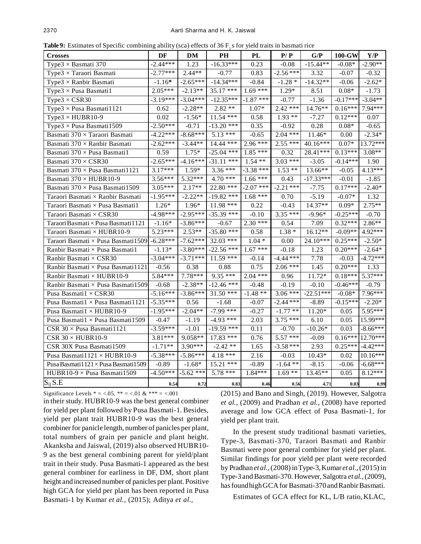**Table 9:** Estimates of Specific combining ability (sca) effects of 36  $F_1$  s for yield traits in basmati rice

| $\mu$ , $\mu$ , $\mu$ , $\mu$ , $\mu$ , $\mu$ , $\mu$ , $\mu$ , $\mu$ , $\mu$ , $\mu$ , $\mu$ , $\mu$ , $\mu$ , $\mu$ , $\mu$ , $\mu$ |            |             |              |             |             |             |            |            |
|---------------------------------------------------------------------------------------------------------------------------------------|------------|-------------|--------------|-------------|-------------|-------------|------------|------------|
| <b>Crosses</b>                                                                                                                        | DF         | DM          | $\bf PH$     | PL          | P/P         | G/P         | 100-GW     | Y/P        |
| Type $3 \times$ Basmati 370                                                                                                           | $-2.44***$ | 1.23        | $-16.33***$  | 0.23        | $-0.08$     | $-15.44**$  | $-0.08*$   | $-2.90**$  |
| Type $3 \times$ Taraori Basmati                                                                                                       | $-2.77***$ | $2.44**$    | $-0.77$      | 0.83        | $-2.56***$  | 3.32        | $-0.07$    | $-0.32$    |
| Type $3 \times$ Ranbir Basmati                                                                                                        | $-1.16*$   | $-2.65***$  | $-14.34***$  | $-0.84$     | $-1.28*$    | $-14.32**$  | $-0.06$    | $-2.62*$   |
| Type $3 \times$ Pusa Basmati1                                                                                                         | $2.05***$  | $-2.13**$   | 35.17 ***    | $1.69***$   | 1.29*       | 8.51        | $0.08*$    | $-1.73$    |
| Type $3 \times$ CSR30                                                                                                                 | $-3.19***$ | $-3.04***$  | $-12.35***$  | $-1.87$ *** | $-0.77$     | $-1.36$     | $-0.17***$ | $-3.04**$  |
| Type3 $\times$ Pusa Basmati1121                                                                                                       | 0.62       | $-2.28**$   | $2.82**$     | $1.07*$     | $2.42***$   | 14.76**     | $0.16***$  | 7.94***    |
| Type3 $\times$ HUBR10-9                                                                                                               | 0.02       | $-1.56*$    | $11.54$ ***  | 0.58        | $1.93**$    | $-7.27$     | $0.12***$  | 0.07       |
| Type3 $\times$ Pusa Basmati1509                                                                                                       | $-2.50***$ | $-0.71$     | $-13.20***$  | 0.35        | $-0.92$     | 0.28        | $0.08*$    | $-0.65$    |
| Basmati $370\times$ Taraori Basmati                                                                                                   | $-4.22***$ | $-8.68***$  | $5.13***$    | $-0.65$     | $2.04$ ***  | $11.46*$    | 0.00       | $-2.34*$   |
| Basmati 370 × Ranbir Basmati                                                                                                          | $-2.62***$ | $-3.44**$   | $14.44$ ***  | $2.96***$   | $2.55***$   | 40.16***    | $0.07*$    | 13.72***   |
| Basmati $370 \times$ Pusa Basmati1                                                                                                    | 0.59       | $1.75*$     | $-25.04$ *** | $1.85$ ***  | 0.32        | 28.41***    | $0.13***$  | $3.08**$   |
| Basmati 370 × CSR30                                                                                                                   | $-2.65***$ | $-4.16***$  | $-31.11$ *** | $1.54$ **   | $3.03***$   | $-3.05$     | $-0.14***$ | 1.90       |
| Basmati 370 × Pusa Basmati 1121                                                                                                       | $3.17***$  | $1.59*$     | $3.36***$    | $-3.38$ *** | $1.53**$    | 13.66**     | $-0.05$    | 4.13***    |
| Basmati 370 × HUBR10-9                                                                                                                | $3.56***$  | $5.32***$   | $4.70***$    | $1.66***$   | 0.43        | $-17.33***$ | $-0.01$    | $-1.85$    |
| Basmati 370 × Pusa Basmati 1509                                                                                                       | $3.05***$  | $2.17**$    | $22.80***$   | $-2.07$ *** | $-2.21$ *** | $-7.75$     | $0.17***$  | $-2.40*$   |
| Taraori Basmati $\times$ Ranbir Basmati                                                                                               | $-1.95***$ | $-2.22**$   | $-19.82$ *** | $1.68$ ***  | 0.70        | $-5.19$     | $-0.07*$   | 1.32       |
| Taraori Basmati $\times$ Pusa Basmati<br>1                                                                                            | $1.26*$    | $1.96*$     | $11.98$ ***  | 0.22        | $-0.43$     | $14.37**$   | $0.09*$    | $2.75**$   |
| Taraori Basmati × CSR30                                                                                                               | $-4.98***$ | $-2.95***$  | $-35.39$ *** | $-0.10$     | $3.35$ ***  | $-9.96*$    | $-0.25***$ | $-0.70$    |
| Taraori Basmati × Pusa Basmati 1121                                                                                                   | $-1.16*$   | $-3.86***$  | $-0.67$      | $2.30***$   | 0.54        | 7.09        | $0.32***$  | 2.86**     |
| Taraori Basmati × HUBR10-9                                                                                                            | $5.23***$  | $2.53**$    | $-35.80$ *** | 0.58        | $1.38\; *$  | $16.12**$   | $-0.09**$  | 4.92***    |
| Taraori Basmati × Pusa Basmati1509                                                                                                    | $-6.28***$ | $-7.62***$  | 32.03 ***    | $1.04 *$    | 0.00        | 24.10***    | $0.25***$  | $-2.50*$   |
| Ranbir Basmati × Pusa Basmati1                                                                                                        | $-1.13*$   | $-3.80***$  | $-22.56$ *** | $1.67***$   | $-0.18$     | 1.23        | $0.20***$  | $-2.64*$   |
| Ranbir Basmati $\times$ CSR30                                                                                                         | $-3.04***$ | $-3.71***$  | $11.59$ ***  | $-0.14$     | $-4.44$ *** | 7.78        | $-0.03$    | $-4.72***$ |
| Ranbir Basmati × Pusa Basmati1121                                                                                                     | $-0.56$    | 0.38        | 0.88         | 0.75        | $2.06***$   | 1.45        | $0.20***$  | 1.33       |
| Ranbir Basmati × HUBR10-9                                                                                                             | $5.84***$  | $7.78***$   | $9.35***$    | $2.04$ ***  | 0.96        | $11.72*$    | $0.18***$  | $5.37***$  |
| Ranbir Basmati × Pusa Basmati1509                                                                                                     | $-0.68$    | $-2.38**$   | $-12.46$ *** | $-0.48$     | $-0.19$     | $-0.10$     | $-0.46***$ | $-0.79$    |
| Pusa Basmati $1 \times$ CSR30                                                                                                         | $-5.16***$ | $-3.86***$  | $31.50$ ***  | $-1.48**$   | $3.06***$   | $-22.51***$ | $-0.08*$   | $7.96***$  |
| Pusa Basmati1 × Pusa Basmati1121                                                                                                      | $-5.35***$ | 0.56        | $-1.68$      | $-0.07$     | $-2.44$ *** | $-8.89$     | $-0.15***$ | $-2.20*$   |
| Pusa Basmati1 × HUBR10-9                                                                                                              | $-1.95***$ | $-2.04**$   | $-7.99$ ***  | $-0.27$     | $-1.77$ **  | $11.20*$    | 0.05       | 5.95***    |
| Pusa Basmati $1 \times$ Pusa Basmati1509                                                                                              | $-0.47$    | $-1.19$     | $-4.93$ ***  | 2.03        | $3.75$ ***  | 6.10        | 0.05       | 15.99***   |
| $CSR 30 \times P$ usa Basmati1121                                                                                                     | $-3.59***$ | $-1.01$     | $-19.59$ *** | 0.11        | $-0.70$     | $-10.26*$   | 0.03       | $-8.66***$ |
| CSR $30 \times HUBR10-9$                                                                                                              | $3.81***$  | $9.058**$   | $17.83$ ***  | 0.76        | $5.57***$   | $-0.09$     | $0.16***$  | 12.70***   |
| CSR 30X Pusa Basmati1509                                                                                                              | $-1.71**$  | $3.90***$   | $-2.42**$    | 1.65        | $-3.58$ *** | 2.93        | $0.25***$  | $-4.42***$ |
| Pusa Basmati $1121 \times HUBR10-9$                                                                                                   | $-5.38***$ | $-5.86***$  | $4.18***$    | 2.16        | $-0.03$     | $10.43*$    | 0.02       | $10.16***$ |
| Pusa Basmati 1121 $\times$ Pusa Basmati 1509                                                                                          | $-0.89$    | $-1.68*$    | $15.21$ ***  | $-0.89$     | $-1.64$ **  | $-8.15$     | $-0.06$    | $-6.68***$ |
| HUBR10-9 $\times$ Pusa Basmati1509                                                                                                    | $-4.50***$ | $-5.62$ *** | 5.78 ***     | $1.84***$   | $1.69**$    | 13.45**     | 0.05       | $8.12***$  |
| $S_{ij} S.E$                                                                                                                          | 0.54       | 0.72        | 0.83         | 0.46        | 0.56        | 4.71        | 0.03       | 0.99       |

Significance Levels \* = <.05, \*\* = <.01 & \*\*\* = <.001

in their study. HUBR10-9 was the best general combiner for yield per plant followed by Pusa Basmati-1. Besides, yield per plant trait HUBR10-9 was the best general combiner for panicle length, number of panicles per plant, total numbers of grain per panicle and plant height. Akanksha and Jaiswal, (2019) also observed HUBR10- 9 as the best general combining parent for yield/plant trait in their study. Pusa Basmati-1 appeared as the best general combiner for earliness in DF, DM, short plant height and increased number of panicles per plant. Positive high GCA for yield per plant has been reported in Pusa Basmati-1 by Kumar *et al.,* (2015); Aditya *et al.,*

(2015) and Bano and Singh, (2019). However, Salgotra *et al.,* (2009) and Pradhan *et al.,* (2008) have reported average and low GCA effect of Pusa Basmati-1, for yield per plant trait.

In the present study traditional basmati varieties, Type-3, Basmati-370, Taraori Basmati and Ranbir Basmati were poor general combiner for yield per plant. Similar findings for poor yield per plant were recorded by Pradhan*et al.,*(2008) inType-3,Kumar *et al.,*(2015) in Type-3 and Basmati-370. However, Salgotra et al., (2009), has found high GCA for Basmati-370 and Ranbir Basmati.

Estimates of GCA effect for KL, L/B ratio,KLAC,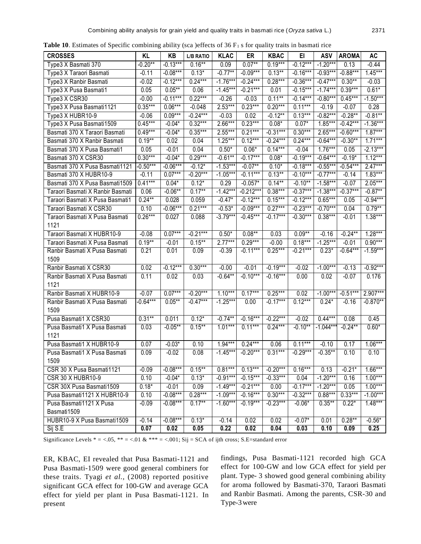**Table 10**. Estimates of Specific combining ability (sca )effects of 36  $F_1$  s for quality traits in basmati rice

| <b>CROSSES</b>                   | KL         | KB         | <b>L/B RATIO</b> | <b>KLAC</b> | ER          | <b>KBAC</b> | EI         | ASV         | <b>AROMA</b> | <b>AC</b>  |
|----------------------------------|------------|------------|------------------|-------------|-------------|-------------|------------|-------------|--------------|------------|
| Type3 X Basmati 370              | $-0.20**$  | $-0.13***$ | $0.16***$        | 0.09        | $0.07**$    | $0.19***$   | $-0.12***$ | $-1.20***$  | 0.13         | $-0.44$    |
| Type3 X Taraori Basmati          | $-0.11$    | $-0.08***$ | $0.13*$          | $-0.77**$   | $-0.09***$  | $0.13***$   | $-0.16***$ | $-0.93***$  | $-0.88***$   | $1.45***$  |
| Type3 X Ranbir Basmati           | $-0.02$    | $-0.12***$ | $0.24***$        | $-1.76***$  | $-0.24***$  | $0.28***$   | $-0.36***$ | $-0.47***$  | $0.30**$     | $-0.03$    |
| Type3 X Pusa Basmati1            | 0.05       | $0.05***$  | 0.06             | $-1.45***$  | $-0.21***$  | 0.01        | $-0.15***$ | $-1.74***$  | $0.39***$    | $0.61*$    |
| Type3 X CSR30                    | $-0.00$    | $-0.11***$ | $0.22***$        | $-0.26$     | $-0.03$     | $0.11***$   | $-0.14***$ | $-0.80***$  | $0.45***$    | $-1.50***$ |
| Type3 X Pusa Basmati1121         | $0.35***$  | $0.06***$  | $-0.048$         | $2.53***$   | $0.23***$   | $0.20***$   | $0.11***$  | $-0.19$     | $-0.07$      | 0.28       |
| Type3 X HUBR10-9                 | $-0.06$    | $0.09***$  | $-0.24***$       | $-0.03$     | 0.02        | $-0.12***$  | $0.13***$  | $-0.82***$  | $-0.28**$    | $-0.81**$  |
| Type3 X Pusa Basmati1509         | $0.45***$  | $-0.04*$   | $0.32***$        | $2.66***$   | $0.23***$   | $0.08*$     | $0.07*$    | $1.85***$   | $-0.42***$   | $-1.36***$ |
| Basmati 370 X Taraori Basmati    | $0.49***$  | $-0.04*$   | $0.35***$        | $2.55***$   | $0.21***$   | $-0.31***$  | $0.30***$  | 2.65***     | $-0.60***$   | $1.87***$  |
| Basmati 370 X Ranbir Basmati     | $0.19***$  | 0.02       | 0.04             | $1.25***$   | $0.12***$   | $-0.24***$  | $0.24***$  | $-0.64***$  | $-0.30**$    | $1.71***$  |
| Basmati 370 X Pusa Basmati1      | 0.05       | $-0.01$    | 0.04             | $0.50*$     | $0.06*$     | $0.14***$   | $-0.04$    | $1.76***$   | 0.05         | $-2.13***$ |
| Basmati 370 X CSR30              | $0.30***$  | $-0.04*$   | $0.29***$        | $-0.61**$   | $-0.17***$  | $0.08*$     | $-0.19***$ | $-0.64***$  | $-0.19*$     | $1.12***$  |
| Basmati 370 X Pusa Basmati1121   | $-0.50***$ | $-0.06***$ | $-0.12*$         | $-1.53***$  | $-0.07***$  | $0.10*$     | $-0.18***$ | $-0.55***$  | $-0.54***$   | $2.47***$  |
| Basmati 370 X HUBR10-9           | $-0.11$    | $0.07***$  | $-0.20***$       | $-1.05***$  | $-0.11***$  | $0.13***$   | $-0.10***$ | $-0.77***$  | $-0.14$      | $1.83***$  |
| Basmati 370 X Pusa Basmati 1509  | $0.41***$  | $0.04*$    | $0.12*$          | 0.29        | $-0.057*$   | $0.14***$   | $-0.10**$  | $-1.58***$  | $-0.07$      | $2.05***$  |
| Taraori Basmati X Ranbir Basmati | 0.06       | $-0.06**$  | $0.17**$         | $-1.42***$  | $-0.212***$ | $0.38***$   | $-0.37***$ | $-1.38***$  | $-0.37***$   | $-0.87**$  |
| Taraori Basmati X Pusa Basmati1  | $0.24***$  | 0.028      | 0.059            | $-0.47*$    | $-0.12***$  | $0.15***$   | $-0.12***$ | $0.65***$   | 0.05         | $-0.94***$ |
| Taraori Basmati X CSR30          | 0.10       | $-0.06***$ | $0.21***$        | $-0.53*$    | $-0.09***$  | $0.27***$   | $-0.23***$ | $-0.70***$  | 0.04         | $0.79**$   |
| Taraori Basmati X Pusa Basmati   | $0.26***$  | 0.027      | 0.088            | $-3.79***$  | $-0.45***$  | $-0.17***$  | $-0.30***$ | $0.38***$   | $-0.01$      | $1.38***$  |
| 1121                             |            |            |                  |             |             |             |            |             |              |            |
| Taraori Basmati X HUBR10-9       | $-0.08$    | $0.07***$  | $-0.21***$       | $0.50*$     | $0.08***$   | 0.03        | $0.09**$   | $-0.16$     | $-0.24**$    | $1.28***$  |
| Taraori Basmati X Pusa Basmati   | $0.19**$   | $-0.01$    | $0.15***$        | $2.77***$   | $0.29***$   | $-0.00$     | $0.18***$  | $-1.25***$  | $-0.01$      | $0.90***$  |
| Ranbir Basmati X Pusa Basmati    | 0.21       | 0.01       | 0.09             | $-0.39$     | $-0.11***$  | $0.25***$   | $-0.21***$ | $0.23*$     | $-0.64***$   | $-1.59***$ |
| 1509                             |            |            |                  |             |             |             |            |             |              |            |
| Ranbir Basmati X CSR30           | 0.02       | $-0.12***$ | $0.30***$        | $-0.00$     | $-0.01$     | $-0.19***$  | $-0.02$    | $-1.00***$  | $-0.13$      | $-0.92***$ |
| Ranbir Basmati X Pusa Basmati    | 0.11       | 0.02       | 0.03             | $-0.64***$  | $-0.10***$  | $-0.16***$  | 0.00       | 0.02        | $-0.07$      | 0.176      |
| 1121                             |            |            |                  |             |             |             |            |             |              |            |
| Ranbir Basmati X HUBR10-9        | $-0.07$    | $0.07***$  | $-0.20***$       | $1.10***$   | $0.17***$   | $0.25***$   | 0.02       | $-1.00***$  | $-0.51***$   | 2.907***   |
| Ranbir Basmati X Pusa Basmati    | $-0.64***$ | $0.05***$  | $-0.47***$       | $-1.25***$  | 0.00        | $-0.17***$  | $0.12***$  | $0.24*$     | $-0.16$      | $-0.870**$ |
| 1509                             |            |            |                  |             |             |             |            |             |              |            |
| Pusa Basmati1 X CSR30            | $0.31***$  | 0.011      | $0.12*$          | $-0.74***$  | $-0.16***$  | $-0.22***$  | $-0.02$    | $0.44***$   | 0.08         | 0.45       |
| Pusa Basmati1 X Pusa Basmati     | 0.03       | $-0.05***$ | $0.15***$        | $1.01***$   | $0.11***$   | $0.24***$   | $-0.10**$  | $-1.044***$ | $-0.24**$    | $0.60*$    |
| 1121                             |            |            |                  |             |             |             |            |             |              |            |
| Pusa Basmati1 X HUBR10-9         | 0.07       | $-0.03*$   | 0.10             | $1.94***$   | $0.24***$   | 0.06        | $0.11***$  | $-0.10$     | 0.17         | $1.06***$  |
| Pusa Basmati1 X Pusa Basmati     | 0.09       | $-0.02$    | 0.08             | $-1.45***$  | $-0.20***$  | $0.31***$   | $-0.29***$ | $-0.35***$  | 0.10         | 0.10       |
| 1509                             |            |            |                  |             |             |             |            |             |              |            |
| CSR 30 X Pusa Basmati1121        | $-0.09$    | $-0.08***$ | $0.15***$        | $0.81***$   | $0.13***$   | $-0.20***$  | $0.16***$  | 0.13        | $-0.21*$     | $1.66***$  |
| <b>CSR 30 X HUBR10-9</b>         | 0.10       | $-0.04*$   | $0.13*$          | $-0.91***$  | $-0.15***$  | $-0.33***$  | 0.04       | $-1.20***$  | 0.16         | $1.00***$  |
| CSR 30X Pusa Basmati1509         | $0.18*$    | $-0.01$    | 0.09             | $-1.49***$  | $-0.21***$  | 0.00        | $-0.17***$ | $-1.20***$  | 0.05         | $1.00***$  |
| Pusa Basmati1121 X HUBR10-9      | 0.10       | $-0.08***$ | $0.28***$        | $-1.09***$  | $-0.16***$  | $0.30***$   | $-0.32***$ | $0.88***$   | $0.33***$    | $-1.00***$ |
| Pusa Basmati1121 X Pusa          | $-0.09$    | $-0.08***$ | $0.17***$        | $-1.60***$  | $-0.19***$  | $-0.23***$  | $-0.06*$   | $0.35***$   | $0.22*$      | $1.48***$  |
| Basmati1509                      |            |            |                  |             |             |             |            |             |              |            |
| HUBR10-9 X Pusa Basmati1509      | $-0.14$    | $-0.08***$ | $0.13*$          | $-0.14$     | 0.02        | 0.02        | $-0.07*$   | 0.01        | $0.28**$     | $-0.56*$   |
| Sij S.E                          | 0.07       | 0.02       | 0.05             | 0.22        | 0.02        | 0.04        | 0.03       | 0.10        | 0.09         | 0.25       |

Significance Levels  $* = <.05$ ,  $** = <.01$  &  $*** = <.001$ ; Sij = SCA of ijth cross; S.E=standard error

ER, KBAC, EI revealed that Pusa Basmati-1121 and Pusa Basmati-1509 were good general combiners for these traits. Tyagi *et al.,* (2008) reported positive significant GCA effect for 100-GW and average GCA effect for yield per plant in Pusa Basmati-1121. In present

findings, Pusa Basmati-1121 recorded high GCA effect for 100-GW and low GCA effect for yield per plant. Type- 3 showed good general combining ability for aroma followed by Basmati-370, Taraori Basmati and Ranbir Basmati. Among the parents, CSR-30 and Type-3were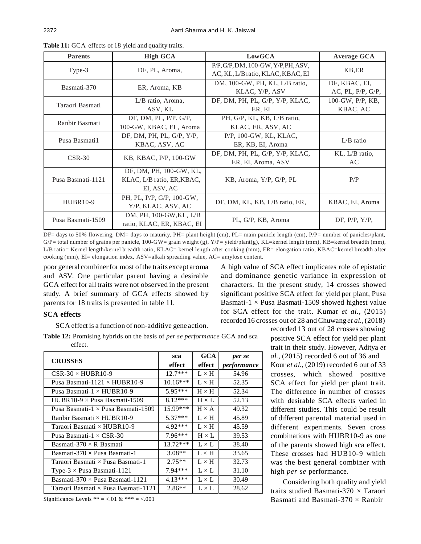| <b>Parents</b>    | <b>High GCA</b>                                                      | LowGCA                                                                   | <b>Average GCA</b>                 |
|-------------------|----------------------------------------------------------------------|--------------------------------------------------------------------------|------------------------------------|
| Type-3            | DF, PL, Aroma,                                                       | P/P, G/P, DM, 100-GW, Y/P, PH, ASV,<br>AC, KL, L/B ratio, KLAC, KBAC, EI | KB, ER                             |
| Basmati-370       | ER, Aroma, KB                                                        | DM, 100-GW, PH, KL, L/B ratio,<br>KLAC, Y/P, ASV                         | DF, KBAC, EI,<br>AC, PL, P/P, G/P, |
| Taraori Basmati   | L/B ratio, Aroma,<br>ASV, KL                                         | DF, DM, PH, PL, G/P, Y/P, KLAC,<br>ER, EI                                | 100-GW, P/P, KB,<br>KBAC, AC       |
| Ranbir Basmati    | DF, DM, PL, $P/P$ . G/P,<br>100-GW, KBAC, EI, Aroma                  | PH, G/P, KL, KB, L/B ratio,<br>KLAC, ER, ASV, AC                         |                                    |
| Pusa Basmati1     | DF, DM, PH, PL, $G/P$ , $Y/P$ ,<br>KBAC, ASV, AC                     | P/P, 100-GW, KL, KLAC,<br>ER, KB, EI, Aroma                              | $L/B$ ratio                        |
| $CSR-30$          | KB, KBAC, P/P, 100-GW                                                | DF, DM, PH, PL, G/P, Y/P, KLAC,<br>ER, EI, Aroma, ASV                    | KL, L/B ratio,<br>AC               |
| Pusa Basmati-1121 | DF, DM, PH, 100-GW, KL,<br>KLAC, L/B ratio, ER, KBAC,<br>EI, ASV, AC | KB, Aroma, Y/P, G/P, PL                                                  | P/P                                |
| <b>HUBR10-9</b>   | PH, PL, P/P, G/P, 100-GW,<br>Y/P, KLAC, ASV, AC                      | DF, DM, KL, KB, L/B ratio, ER,                                           | KBAC, EI, Aroma                    |
| Pusa Basmati-1509 | DM, PH, 100-GW, KL, L/B<br>ratio, KLAC, ER, KBAC, EI                 | PL, G/P, KB, Aroma                                                       | DF, $P/P$ , $Y/P$ ,                |

**Table 11:** GCA effects of 18 yield and quality traits.

DF= days to 50% flowering, DM= days to maturity, PH= plant height (cm), PL= main panicle length (cm), P/P= number of panicles/plant, G/P= total number of grains per panicle, 100-GW= grain weight (g), Y/P= yield/plant(g), KL=kernel length (mm), KB=kernel breadth (mm), L/B ratio= Kernel length/kernel breadth ratio, KLAC= kernel length after cooking (mm), ER= elongation ratio, KBAC=kernel breadth after cooking (mm), EI= elongation index, ASV=alkali spreading value, AC= amylose content.

poor general combiner for most of the traits except aroma and ASV. One particular parent having a desirable GCA effect for all traits were not observed in the present study. A brief summary of GCA effects showed by parents for 18 traits is presented in table 11.

A high value of SCA effect implicates role of epistatic and dominance genetic variance in expression of characters. In the present study, 14 crosses showed significant positive SCA effect for yield per plant, Pusa Basmati-1  $\times$  Pusa Basmati-1509 showed highest value for SCA effect for the trait. Kumar *et al.,* (2015) recorded 16 crosses out of 28 andChuwang *et al.,*(2018)

# **SCA effects**

SCA effect is a function of non-additive gene action.

**Table 12:** Promising hybrids on the basis of *per se performance* GCA and sca effect.

| <b>CROSSES</b>                            | sca        | GCA            | per se             |
|-------------------------------------------|------------|----------------|--------------------|
|                                           | effect     | effect         | <i>performance</i> |
| $CSR-30\times HUBR10-9$                   | $12.7***$  | $L \times H$   | 54.96              |
| Pusa Basmati-1121 $\times$ HUBR10-9       | $10.16***$ | $L \times H$   | 52.35              |
| Pusa Basmati- $1 \times HUBR10-9$         | $5.95***$  | $H \times H$   | 52.34              |
| $HIBR10-9 \times Pusa Basmati-1509$       | $8.12***$  | $H \times I$ . | 52.13              |
| Pusa Basmati-1 $\times$ Pusa Basmati-1509 | $15.99***$ | $H \times A$   | 49.32              |
| Ranbir Basmati $\times$ HUBR10-9          | $5.37***$  | $L \times H$   | 45.89              |
| Taraori Basmati $\times$ HUBR10-9         | $4.92***$  | $L \times H$   | 45.59              |
| Pusa Basmati- $1 \times$ CSR-30           | $7.96***$  | $H \times L$   | 39.53              |
| Basmati-370 $\times$ R Basmati            | $13.72***$ | $L \times L$   | 38.40              |
| Basmati-370 $\times$ Pusa Basmati-1       | $3.08**$   | $L \times H$   | 33.65              |
| Taraori Basmati × Pusa Basmati-1          | $2.75**$   | $L \times H$   | 32.73              |
| Type- $3 \times$ Pusa Basmati-1121        | $7.94***$  | $L \times L$   | 31.10              |
| Basmati-370 $\times$ Pusa Basmati-1121    | $4.13***$  | $L \times L$   | 30.49              |
| Taraori Basmati × Pusa Basmati-1121       | $2.86**$   | $L \times L$   | 28.62              |

Significance Levels \*\* = <.01 & \*\*\* = <.001

recorded 13 out of 28 crosses showing positive SCA effect for yield per plant trait in their study. However, Aditya *et al.,* (2015) recorded 6 out of 36 and Kour *et al.,* (2019) recorded 6 out of 33 crosses, which showed positive SCA effect for yield per plant trait. The difference in number of crosses with desirable SCA effects varied in different studies. This could be result of different parental material used in different experiments. Seven cross combinations with HUBR10-9 as one of the parents showed high sca effect. These crosses had HUB10-9 which was the best general combiner with high *per se* performance.

Considering both quality and yield traits studied Basmati-370 × Taraori Basmati and Basmati-370  $\times$  Ranbir